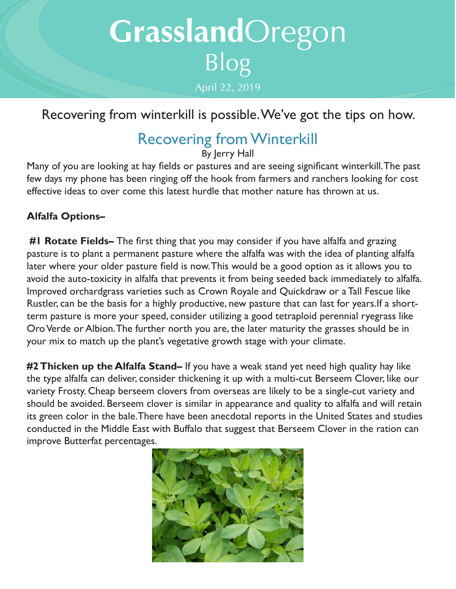# **Grassland**Oregon Blog April 22, 2019

### Recovering from winterkill is possible. We've got the tips on how.

## Recovering from Winterkill

By Jerry Hall

Many of you are looking at hay fields or pastures and are seeing significant winterkill. The past few days my phone has been ringing off the hook from farmers and ranchers looking for cost effective ideas to over come this latest hurdle that mother nature has thrown at us.

#### **Alfalfa Options–**

 **#1 Rotate Fields–** The first thing that you may consider if you have alfalfa and grazing pasture is to plant a permanent pasture where the alfalfa was with the idea of planting alfalfa later where your older pasture field is now. This would be a good option as it allows you to avoid the auto-toxicity in alfalfa that prevents it from being seeded back immediately to alfalfa. Improved orchardgrass varieties such as Crown Royale and Quickdraw or a Tall Fescue like Rustler, can be the basis for a highly productive, new pasture that can last for years.If a shortterm pasture is more your speed, consider utilizing a good tetraploid perennial ryegrass like Oro Verde or Albion. The further north you are, the later maturity the grasses should be in your mix to match up the plant's vegetative growth stage with your climate.

**#2 Thicken up the Alfalfa Stand–** If you have a weak stand yet need high quality hay like the type alfalfa can deliver, consider thickening it up with a multi-cut Berseem Clover, like our variety Frosty. Cheap berseem clovers from overseas are likely to be a single-cut variety and should be avoided. Berseem clover is similar in appearance and quality to alfalfa and will retain its green color in the bale.There have been anecdotal reports in the United States and studies conducted in the Middle East with Buffalo that suggest that Berseem Clover in the ration can improve Butterfat percentages.

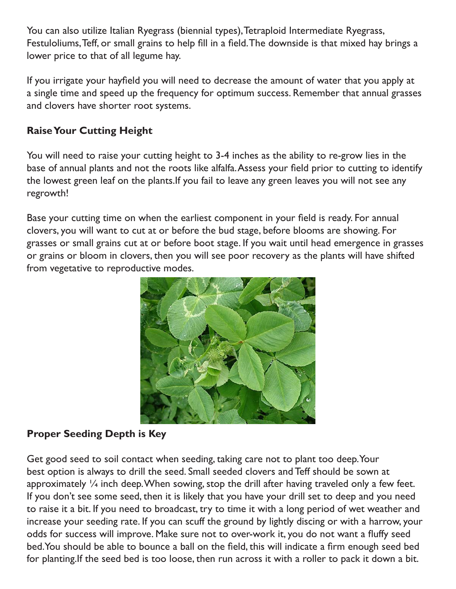You can also utilize Italian Ryegrass (biennial types), Tetraploid Intermediate Ryegrass, Festuloliums, Teff, or small grains to help fill in a field. The downside is that mixed hay brings a lower price to that of all legume hay.

If you irrigate your hayfield you will need to decrease the amount of water that you apply at a single time and speed up the frequency for optimum success. Remember that annual grasses and clovers have shorter root systems.

#### **Raise Your Cutting Height**

You will need to raise your cutting height to 3-4 inches as the ability to re-grow lies in the base of annual plants and not the roots like alfalfa. Assess your field prior to cutting to identify the lowest green leaf on the plants.If you fail to leave any green leaves you will not see any regrowth!

Base your cutting time on when the earliest component in your field is ready. For annual clovers, you will want to cut at or before the bud stage, before blooms are showing. For grasses or small grains cut at or before boot stage. If you wait until head emergence in grasses or grains or bloom in clovers, then you will see poor recovery as the plants will have shifted from vegetative to reproductive modes.



#### **Proper Seeding Depth is Key**

Get good seed to soil contact when seeding, taking care not to plant too deep. Your best option is always to drill the seed. Small seeded clovers and Teff should be sown at approximately  $\frac{1}{4}$  inch deep. When sowing, stop the drill after having traveled only a few feet. If you don't see some seed, then it is likely that you have your drill set to deep and you need to raise it a bit. If you need to broadcast, try to time it with a long period of wet weather and increase your seeding rate. If you can scuff the ground by lightly discing or with a harrow, your odds for success will improve. Make sure not to over-work it, you do not want a fluffy seed bed.You should be able to bounce a ball on the field, this will indicate a firm enough seed bed for planting.If the seed bed is too loose, then run across it with a roller to pack it down a bit.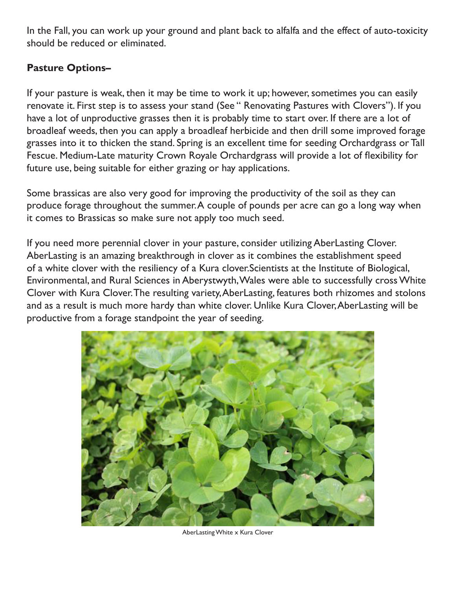In the Fall, you can work up your ground and plant back to alfalfa and the effect of auto-toxicity should be reduced or eliminated.

#### **Pasture Options–**

If your pasture is weak, then it may be time to work it up; however, sometimes you can easily renovate it. First step is to assess your stand (See " Renovating Pastures with Clovers"). If you have a lot of unproductive grasses then it is probably time to start over. If there are a lot of broadleaf weeds, then you can apply a broadleaf herbicide and then drill some improved forage grasses into it to thicken the stand. Spring is an excellent time for seeding Orchardgrass or Tall Fescue. Medium-Late maturity Crown Royale Orchardgrass will provide a lot of flexibility for future use, being suitable for either grazing or hay applications.

Some brassicas are also very good for improving the productivity of the soil as they can produce forage throughout the summer. A couple of pounds per acre can go a long way when it comes to Brassicas so make sure not apply too much seed.

If you need more perennial clover in your pasture, consider utilizing AberLasting Clover. AberLasting is an amazing breakthrough in clover as it combines the establishment speed of a white clover with the resiliency of a Kura clover.Scientists at the Institute of Biological, Environmental, and Rural Sciences in Aberystwyth, Wales were able to successfully cross White Clover with Kura Clover. The resulting variety, AberLasting, features both rhizomes and stolons and as a result is much more hardy than white clover. Unlike Kura Clover, AberLasting will be productive from a forage standpoint the year of seeding.



AberLasting White x Kura Clover